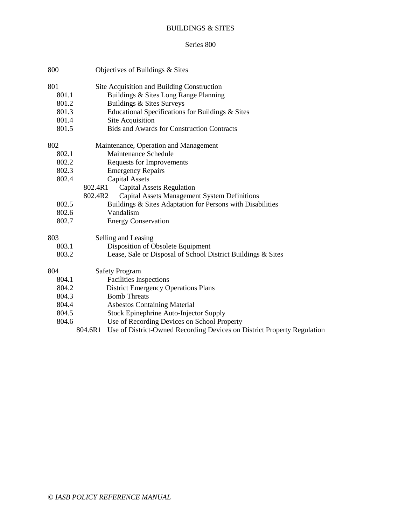# BUILDINGS & SITES

### Series 800

| 800   | Objectives of Buildings & Sites                              |  |  |
|-------|--------------------------------------------------------------|--|--|
| 801   | Site Acquisition and Building Construction                   |  |  |
| 801.1 | Buildings & Sites Long Range Planning                        |  |  |
| 801.2 | Buildings & Sites Surveys                                    |  |  |
| 801.3 | Educational Specifications for Buildings & Sites             |  |  |
| 801.4 | Site Acquisition                                             |  |  |
| 801.5 | <b>Bids and Awards for Construction Contracts</b>            |  |  |
| 802   | Maintenance, Operation and Management                        |  |  |
| 802.1 | Maintenance Schedule                                         |  |  |
| 802.2 | Requests for Improvements                                    |  |  |
| 802.3 | <b>Emergency Repairs</b>                                     |  |  |
| 802.4 | <b>Capital Assets</b>                                        |  |  |
|       | <b>Capital Assets Regulation</b><br>802.4R1                  |  |  |
|       | Capital Assets Management System Definitions<br>802.4R2      |  |  |
| 802.5 | Buildings & Sites Adaptation for Persons with Disabilities   |  |  |
| 802.6 | Vandalism                                                    |  |  |
| 802.7 | <b>Energy Conservation</b>                                   |  |  |
| 803   | Selling and Leasing                                          |  |  |
| 803.1 | Disposition of Obsolete Equipment                            |  |  |
| 803.2 | Lease, Sale or Disposal of School District Buildings & Sites |  |  |
| 804   | <b>Safety Program</b>                                        |  |  |
| 804.1 | <b>Facilities Inspections</b>                                |  |  |
| 804.2 | <b>District Emergency Operations Plans</b>                   |  |  |
| 804.3 | <b>Bomb Threats</b>                                          |  |  |
| 804.4 | <b>Asbestos Containing Material</b>                          |  |  |
| 804.5 | Stock Epinephrine Auto-Injector Supply                       |  |  |
| 804.6 | Use of Recording Devices on School Property                  |  |  |

804.6R1 Use of District-Owned Recording Devices on District Property Regulation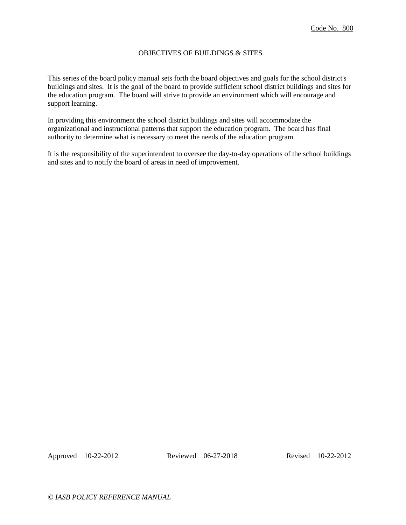## OBJECTIVES OF BUILDINGS & SITES

This series of the board policy manual sets forth the board objectives and goals for the school district's buildings and sites. It is the goal of the board to provide sufficient school district buildings and sites for the education program. The board will strive to provide an environment which will encourage and support learning.

In providing this environment the school district buildings and sites will accommodate the organizational and instructional patterns that support the education program. The board has final authority to determine what is necessary to meet the needs of the education program.

It is the responsibility of the superintendent to oversee the day-to-day operations of the school buildings and sites and to notify the board of areas in need of improvement.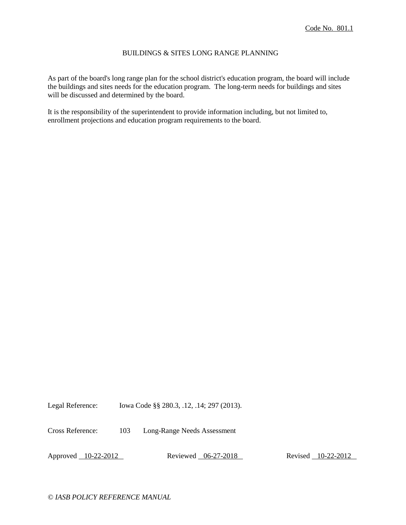### BUILDINGS & SITES LONG RANGE PLANNING

As part of the board's long range plan for the school district's education program, the board will include the buildings and sites needs for the education program. The long-term needs for buildings and sites will be discussed and determined by the board.

It is the responsibility of the superintendent to provide information including, but not limited to, enrollment projections and education program requirements to the board.

Legal Reference: Iowa Code §§ 280.3, .12, .14; 297 (2013).

Cross Reference: 103 Long-Range Needs Assessment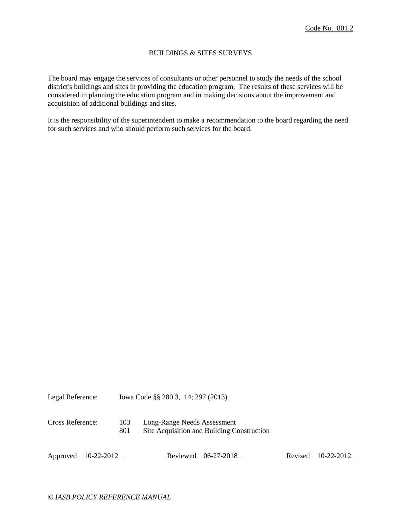### BUILDINGS & SITES SURVEYS

The board may engage the services of consultants or other personnel to study the needs of the school district's buildings and sites in providing the education program. The results of these services will be considered in planning the education program and in making decisions about the improvement and acquisition of additional buildings and sites.

It is the responsibility of the superintendent to make a recommendation to the board regarding the need for such services and who should perform such services for the board.

| Legal Reference: |  |  | Iowa Code §§ 280.3, .14; 297 (2013). |
|------------------|--|--|--------------------------------------|
|------------------|--|--|--------------------------------------|

Cross Reference: 103 Long-Range Needs Assessment 801 Site Acquisition and Building Construction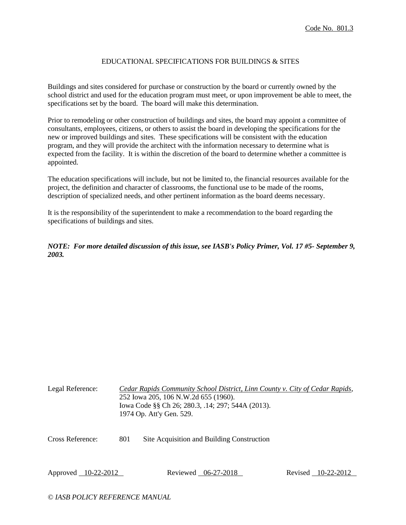## EDUCATIONAL SPECIFICATIONS FOR BUILDINGS & SITES

Buildings and sites considered for purchase or construction by the board or currently owned by the school district and used for the education program must meet, or upon improvement be able to meet, the specifications set by the board. The board will make this determination.

Prior to remodeling or other construction of buildings and sites, the board may appoint a committee of consultants, employees, citizens, or others to assist the board in developing the specifications for the new or improved buildings and sites. These specifications will be consistent with the education program, and they will provide the architect with the information necessary to determine what is expected from the facility. It is within the discretion of the board to determine whether a committee is appointed.

The education specifications will include, but not be limited to, the financial resources available for the project, the definition and character of classrooms, the functional use to be made of the rooms, description of specialized needs, and other pertinent information as the board deems necessary.

It is the responsibility of the superintendent to make a recommendation to the board regarding the specifications of buildings and sites.

*NOTE: For more detailed discussion of this issue, see IASB's Policy Primer, Vol. 17 #5- September 9, 2003.*

| Legal Reference:    | Cedar Rapids Community School District, Linn County v. City of Cedar Rapids,<br>252 Iowa 205, 106 N.W.2d 655 (1960).<br>Iowa Code §§ Ch 26; 280.3, .14; 297; 544A (2013).<br>1974 Op. Att'y Gen. 529. |                                            |  |                    |  |  |
|---------------------|-------------------------------------------------------------------------------------------------------------------------------------------------------------------------------------------------------|--------------------------------------------|--|--------------------|--|--|
| Cross Reference:    | 801                                                                                                                                                                                                   | Site Acquisition and Building Construction |  |                    |  |  |
| Approved 10-22-2012 |                                                                                                                                                                                                       | Reviewed 06-27-2018                        |  | Revised 10-22-2012 |  |  |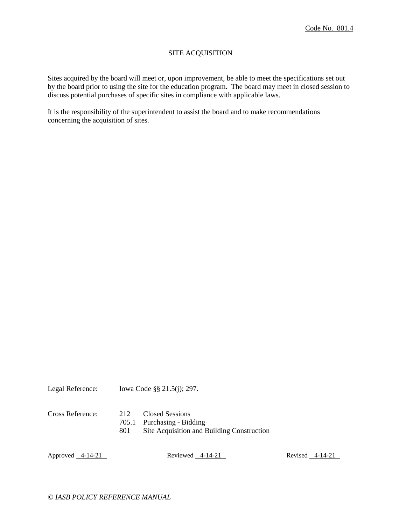## SITE ACQUISITION

Sites acquired by the board will meet or, upon improvement, be able to meet the specifications set out by the board prior to using the site for the education program. The board may meet in closed session to discuss potential purchases of specific sites in compliance with applicable laws.

It is the responsibility of the superintendent to assist the board and to make recommendations concerning the acquisition of sites.

Legal Reference: Iowa Code §§ 21.5(j); 297.

Cross Reference: 212 Closed Sessions

705.1 Purchasing - Bidding

801 Site Acquisition and Building Construction

Approved 4-14-21 Reviewed 4-14-21 Reviewed 4-14-21 Revised 4-14-21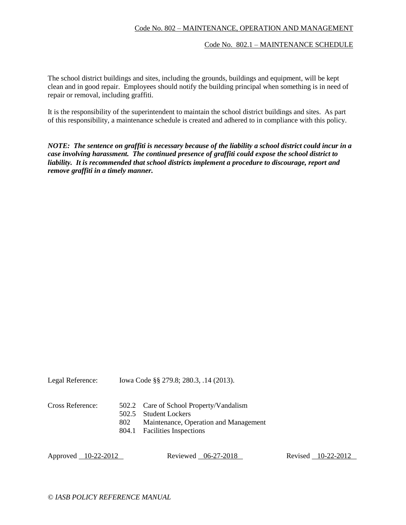# Code No. 802 – MAINTENANCE, OPERATION AND MANAGEMENT

#### Code No. 802.1 – MAINTENANCE SCHEDULE

The school district buildings and sites, including the grounds, buildings and equipment, will be kept clean and in good repair. Employees should notify the building principal when something is in need of repair or removal, including graffiti.

It is the responsibility of the superintendent to maintain the school district buildings and sites. As part of this responsibility, a maintenance schedule is created and adhered to in compliance with this policy.

*NOTE: The sentence on graffiti is necessary because of the liability a school district could incur in a case involving harassment. The continued presence of graffiti could expose the school district to liability. It is recommended that school districts implement a procedure to discourage, report and remove graffiti in a timely manner.*

Legal Reference: Iowa Code §§ 279.8; 280.3, .14 (2013).

- Cross Reference: 502.2 Care of School Property/Vandalism
	- 502.5 Student Lockers
	- 802 Maintenance, Operation and Management
	- 804.1 Facilities Inspections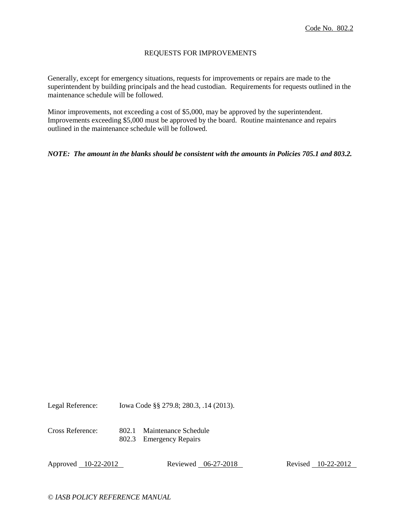### REQUESTS FOR IMPROVEMENTS

Generally, except for emergency situations, requests for improvements or repairs are made to the superintendent by building principals and the head custodian. Requirements for requests outlined in the maintenance schedule will be followed.

Minor improvements, not exceeding a cost of \$5,000, may be approved by the superintendent. Improvements exceeding \$5,000 must be approved by the board. Routine maintenance and repairs outlined in the maintenance schedule will be followed.

*NOTE: The amount in the blanks should be consistent with the amounts in Policies 705.1 and 803.2.*

Legal Reference: Iowa Code §§ 279.8; 280.3, .14 (2013).

Cross Reference: 802.1 Maintenance Schedule 802.3 Emergency Repairs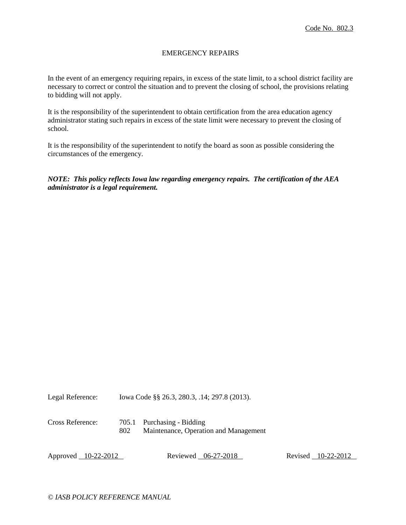## EMERGENCY REPAIRS

In the event of an emergency requiring repairs, in excess of the state limit, to a school district facility are necessary to correct or control the situation and to prevent the closing of school, the provisions relating to bidding will not apply.

It is the responsibility of the superintendent to obtain certification from the area education agency administrator stating such repairs in excess of the state limit were necessary to prevent the closing of school.

It is the responsibility of the superintendent to notify the board as soon as possible considering the circumstances of the emergency.

*NOTE: This policy reflects Iowa law regarding emergency repairs. The certification of the AEA administrator is a legal requirement.*

Legal Reference: Iowa Code §§ 26.3, 280.3, .14; 297.8 (2013).

Cross Reference: 705.1 Purchasing - Bidding 802 Maintenance, Operation and Management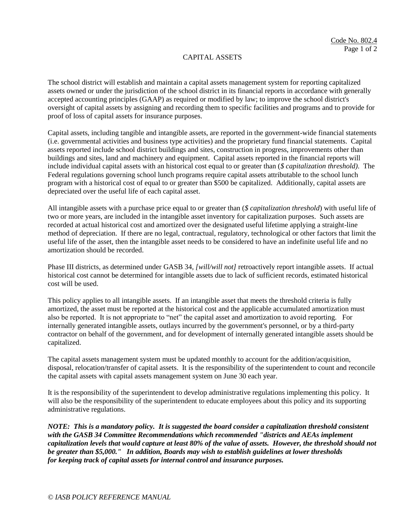## CAPITAL ASSETS

The school district will establish and maintain a capital assets management system for reporting capitalized assets owned or under the jurisdiction of the school district in its financial reports in accordance with generally accepted accounting principles (GAAP) as required or modified by law; to improve the school district's oversight of capital assets by assigning and recording them to specific facilities and programs and to provide for proof of loss of capital assets for insurance purposes.

Capital assets, including tangible and intangible assets, are reported in the government-wide financial statements (i.e. governmental activities and business type activities) and the proprietary fund financial statements. Capital assets reported include school district buildings and sites, construction in progress, improvements other than buildings and sites, land and machinery and equipment. Capital assets reported in the financial reports will include individual capital assets with an historical cost equal to or greater than (*\$ capitalization threshold)*. The Federal regulations governing school lunch programs require capital assets attributable to the school lunch program with a historical cost of equal to or greater than \$500 be capitalized. Additionally, capital assets are depreciated over the useful life of each capital asset.

All intangible assets with a purchase price equal to or greater than (*\$ capitalization threshold*) with useful life of two or more years, are included in the intangible asset inventory for capitalization purposes. Such assets are recorded at actual historical cost and amortized over the designated useful lifetime applying a straight-line method of depreciation. If there are no legal, contractual, regulatory, technological or other factors that limit the useful life of the asset, then the intangible asset needs to be considered to have an indefinite useful life and no amortization should be recorded.

Phase III districts, as determined under GASB 34, *[will/will not]* retroactively report intangible assets. If actual historical cost cannot be determined for intangible assets due to lack of sufficient records, estimated historical cost will be used.

This policy applies to all intangible assets. If an intangible asset that meets the threshold criteria is fully amortized, the asset must be reported at the historical cost and the applicable accumulated amortization must also be reported. It is not appropriate to "net" the capital asset and amortization to avoid reporting. For internally generated intangible assets, outlays incurred by the government's personnel, or by a third-party contractor on behalf of the government, and for development of internally generated intangible assets should be capitalized.

The capital assets management system must be updated monthly to account for the addition/acquisition, disposal, relocation/transfer of capital assets. It is the responsibility of the superintendent to count and reconcile the capital assets with capital assets management system on June 30 each year.

It is the responsibility of the superintendent to develop administrative regulations implementing this policy. It will also be the responsibility of the superintendent to educate employees about this policy and its supporting administrative regulations.

*NOTE: This is a mandatory policy. It is suggested the board consider a capitalization threshold consistent with the GASB 34 Committee Recommendations which recommended "districts and AEAs implement capitalization levels that would capture at least 80% of the value of assets. However, the threshold should not be greater than \$5,000." In addition, Boards may wish to establish guidelines at lower thresholds for keeping track of capital assets for internal control and insurance purposes.*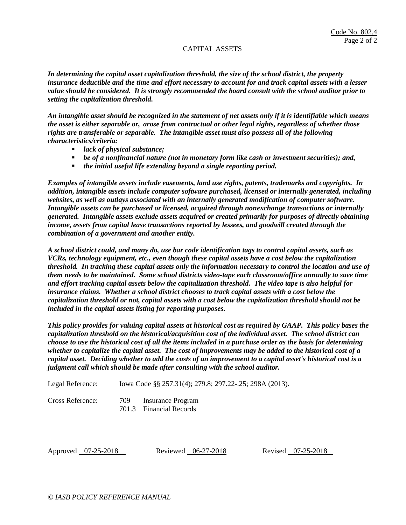### CAPITAL ASSETS

*In determining the capital asset capitalization threshold, the size of the school district, the property insurance deductible and the time and effort necessary to account for and track capital assets with a lesser value should be considered. It is strongly recommended the board consult with the school auditor prior to setting the capitalization threshold.* 

*An intangible asset should be recognized in the statement of net assets only if it is identifiable which means the asset is either separable or, arose from contractual or other legal rights, regardless of whether those rights are transferable or separable. The intangible asset must also possess all of the following characteristics/criteria:*

- *lack of physical substance;*
- *be of a nonfinancial nature (not in monetary form like cash or investment securities); and,*
- *the initial useful life extending beyond a single reporting period.*

*Examples of intangible assets include easements, land use rights, patents, trademarks and copyrights. In addition, intangible assets include computer software purchased, licensed or internally generated, including websites, as well as outlays associated with an internally generated modification of computer software. Intangible assets can be purchased or licensed, acquired through nonexchange transactions or internally generated. Intangible assets exclude assets acquired or created primarily for purposes of directly obtaining income, assets from capital lease transactions reported by lessees, and goodwill created through the combination of a government and another entity.*

*A school district could, and many do, use bar code identification tags to control capital assets, such as VCRs, technology equipment, etc., even though these capital assets have a cost below the capitalization threshold. In tracking these capital assets only the information necessary to control the location and use of them needs to be maintained. Some school districts video-tape each classroom/office annually to save time and effort tracking capital assets below the capitalization threshold. The video tape is also helpful for insurance claims. Whether a school district chooses to track capital assets with a cost below the capitalization threshold or not, capital assets with a cost below the capitalization threshold should not be included in the capital assets listing for reporting purposes.* 

*This policy provides for valuing capital assets at historical cost as required by GAAP. This policy bases the capitalization threshold on the historical/acquisition cost of the individual asset. The school district can choose to use the historical cost of all the items included in a purchase order as the basis for determining whether to capitalize the capital asset. The cost of improvements may be added to the historical cost of a capital asset. Deciding whether to add the costs of an improvement to a capital asset's historical cost is a judgment call which should be made after consulting with the school auditor.*

Legal Reference: Iowa Code §§ 257.31(4); 279.8; 297.22-.25; 298A (2013).

Cross Reference: 709 Insurance Program 701.3 Financial Records

Approved 07-25-2018 Reviewed 06-27-2018 Revised 07-25-2018

*© IASB POLICY REFERENCE MANUAL*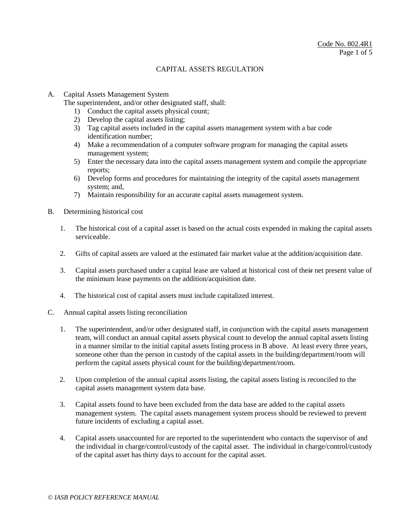A. Capital Assets Management System

The superintendent, and/or other designated staff, shall:

- 1) Conduct the capital assets physical count;
- 2) Develop the capital assets listing;
- 3) Tag capital assets included in the capital assets management system with a bar code identification number;
- 4) Make a recommendation of a computer software program for managing the capital assets management system;
- 5) Enter the necessary data into the capital assets management system and compile the appropriate reports;
- 6) Develop forms and procedures for maintaining the integrity of the capital assets management system; and,
- 7) Maintain responsibility for an accurate capital assets management system.
- B. Determining historical cost
	- 1. The historical cost of a capital asset is based on the actual costs expended in making the capital assets serviceable.
	- 2. Gifts of capital assets are valued at the estimated fair market value at the addition/acquisition date.
	- 3. Capital assets purchased under a capital lease are valued at historical cost of their net present value of the minimum lease payments on the addition/acquisition date.
	- 4. The historical cost of capital assets must include capitalized interest.
- C. Annual capital assets listing reconciliation
	- 1. The superintendent, and/or other designated staff, in conjunction with the capital assets management team, will conduct an annual capital assets physical count to develop the annual capital assets listing in a manner similar to the initial capital assets listing process in B above. At least every three years, someone other than the person in custody of the capital assets in the building/department/room will perform the capital assets physical count for the building/department/room.
	- 2. Upon completion of the annual capital assets listing, the capital assets listing is reconciled to the capital assets management system data base.
	- 3. Capital assets found to have been excluded from the data base are added to the capital assets management system. The capital assets management system process should be reviewed to prevent future incidents of excluding a capital asset.
	- 4. Capital assets unaccounted for are reported to the superintendent who contacts the supervisor of and the individual in charge/control/custody of the capital asset. The individual in charge/control/custody of the capital asset has thirty days to account for the capital asset.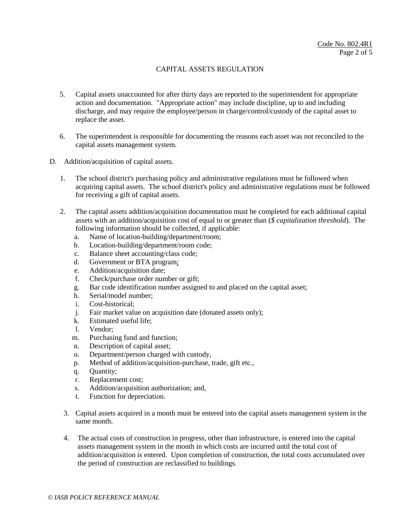- 5. Capital assets unaccounted for after thirty days are reported to the superintendent for appropriate action and documentation. "Appropriate action" may include discipline, up to and including discharge, and may require the employee/person in charge/control/custody of the capital asset to replace the asset.
- 6. The superintendent is responsible for documenting the reasons each asset was not reconciled to the capital assets management system.
- D. Addition/acquisition of capital assets.
	- 1. The school district's purchasing policy and administrative regulations must be followed when acquiring capital assets. The school district's policy and administrative regulations must be followed for receiving a gift of capital assets.
	- 2. The capital assets addition/acquisition documentation must be completed for each additional capital assets with an addition/acquisition cost of equal to or greater than (*\$ capitalization threshold*). The following information should be collected, if applicable:
		- a. Name of location-building/department/room;
		- b. Location-building/department/room code;
		- c. Balance sheet accounting/class code;
		- d. Government or BTA program;
		- e. Addition/acquisition date;
		- f. Check/purchase order number or gift;
		- g. Bar code identification number assigned to and placed on the capital asset;
		- h. Serial/model number;
		- i. Cost-historical;
		- j. Fair market value on acquisition date (donated assets only);
		- k. Estimated useful life;
		- l. Vendor;
		- m. Purchasing fund and function;
		- n. Description of capital asset;
		- o. Department/person charged with custody,
		- p. Method of addition/acquisition-purchase, trade, gift etc.,
		- q. Quantity;
		- r. Replacement cost;
		- s. Addition/acquisition authorization; and,
		- t. Function for depreciation.
	- 3. Capital assets acquired in a month must be entered into the capital assets management system in the same month.
	- 4. The actual costs of construction in progress, other than infrastructure, is entered into the capital assets management system in the month in which costs are incurred until the total cost of addition/acquisition is entered. Upon completion of construction, the total costs accumulated over the period of construction are reclassified to buildings.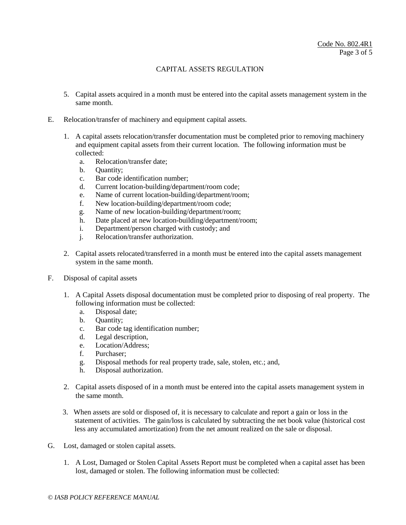- 5. Capital assets acquired in a month must be entered into the capital assets management system in the same month.
- E. Relocation/transfer of machinery and equipment capital assets.
	- 1. A capital assets relocation/transfer documentation must be completed prior to removing machinery and equipment capital assets from their current location. The following information must be collected:
		- a. Relocation/transfer date;
		- b. Quantity;
		- c. Bar code identification number;
		- d. Current location-building/department/room code;
		- e. Name of current location-building/department/room;
		- f. New location-building/department/room code;
		- g. Name of new location-building/department/room;
		- h. Date placed at new location-building/department/room;
		- i. Department/person charged with custody; and
		- j. Relocation/transfer authorization.
	- 2. Capital assets relocated/transferred in a month must be entered into the capital assets management system in the same month.
- F. Disposal of capital assets
	- 1. A Capital Assets disposal documentation must be completed prior to disposing of real property. The following information must be collected:
		- a. Disposal date;
		- b. Quantity;
		- c. Bar code tag identification number;
		- d. Legal description,
		- e. Location/Address;
		- f. Purchaser;
		- g. Disposal methods for real property trade, sale, stolen, etc.; and,
		- h. Disposal authorization.
	- 2. Capital assets disposed of in a month must be entered into the capital assets management system in the same month.
	- 3. When assets are sold or disposed of, it is necessary to calculate and report a gain or loss in the statement of activities. The gain/loss is calculated by subtracting the net book value (historical cost less any accumulated amortization) from the net amount realized on the sale or disposal.
- G. Lost, damaged or stolen capital assets.
	- 1. A Lost, Damaged or Stolen Capital Assets Report must be completed when a capital asset has been lost, damaged or stolen. The following information must be collected: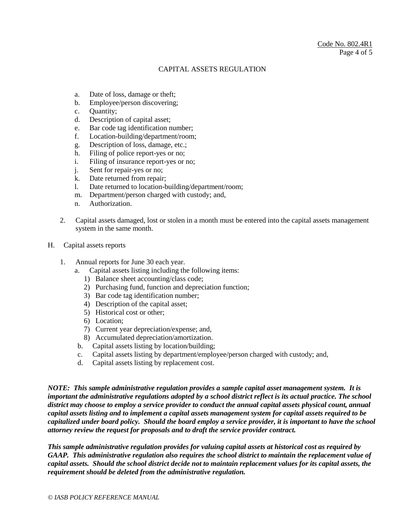- a. Date of loss, damage or theft;
- b. Employee/person discovering;
- c. Quantity;
- d. Description of capital asset;
- e. Bar code tag identification number;
- f. Location-building/department/room;
- g. Description of loss, damage, etc.;
- h. Filing of police report-yes or no;
- i. Filing of insurance report-yes or no;
- j. Sent for repair-yes or no;
- k. Date returned from repair;
- l. Date returned to location-building/department/room;
- m. Department/person charged with custody; and,
- n. Authorization.
- 2. Capital assets damaged, lost or stolen in a month must be entered into the capital assets management system in the same month.
- H. Capital assets reports
	- 1. Annual reports for June 30 each year.
		- a. Capital assets listing including the following items:
			- 1) Balance sheet accounting/class code;
			- 2) Purchasing fund, function and depreciation function;
			- 3) Bar code tag identification number;
			- 4) Description of the capital asset;
			- 5) Historical cost or other;
			- 6) Location;
			- 7) Current year depreciation/expense; and,
			- 8) Accumulated depreciation/amortization.
		- b. Capital assets listing by location/building;
		- c. Capital assets listing by department/employee/person charged with custody; and,
		- d. Capital assets listing by replacement cost.

*NOTE: This sample administrative regulation provides a sample capital asset management system. It is important the administrative regulations adopted by a school district reflect is its actual practice. The school district may choose to employ a service provider to conduct the annual capital assets physical count, annual capital assets listing and to implement a capital assets management system for capital assets required to be capitalized under board policy. Should the board employ a service provider, it is important to have the school attorney review the request for proposals and to draft the service provider contract.*

*This sample administrative regulation provides for valuing capital assets at historical cost as required by GAAP. This administrative regulation also requires the school district to maintain the replacement value of capital assets. Should the school district decide not to maintain replacement values for its capital assets, the requirement should be deleted from the administrative regulation.*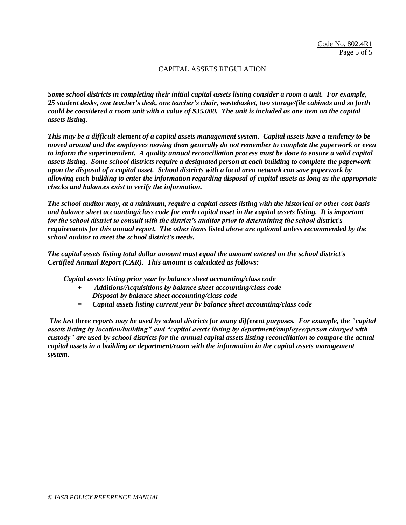*Some school districts in completing their initial capital assets listing consider a room a unit. For example, 25 student desks, one teacher's desk, one teacher's chair, wastebasket, two storage/file cabinets and so forth could be considered a room unit with a value of \$35,000. The unit is included as one item on the capital assets listing.*

*This may be a difficult element of a capital assets management system. Capital assets have a tendency to be moved around and the employees moving them generally do not remember to complete the paperwork or even to inform the superintendent. A quality annual reconciliation process must be done to ensure a valid capital assets listing. Some school districts require a designated person at each building to complete the paperwork upon the disposal of a capital asset. School districts with a local area network can save paperwork by allowing each building to enter the information regarding disposal of capital assets as long as the appropriate checks and balances exist to verify the information.* 

*The school auditor may, at a minimum, require a capital assets listing with the historical or other cost basis and balance sheet accounting/class code for each capital asset in the capital assets listing. It is important for the school district to consult with the district's auditor prior to determining the school district's requirements for this annual report. The other items listed above are optional unless recommended by the school auditor to meet the school district's needs.*

*The capital assets listing total dollar amount must equal the amount entered on the school district's Certified Annual Report (CAR). This amount is calculated as follows:*

*Capital assets listing prior year by balance sheet accounting/class code*

- *+ Additions/Acquisitions by balance sheet accounting/class code*
- *- Disposal by balance sheet accounting/class code*
- *= Capital assets listing current year by balance sheet accounting/class code*

*The last three reports may be used by school districts for many different purposes. For example, the "capital assets listing by location/building" and "capital assets listing by department/employee/person charged with custody" are used by school districts for the annual capital assets listing reconciliation to compare the actual capital assets in a building or department/room with the information in the capital assets management system.*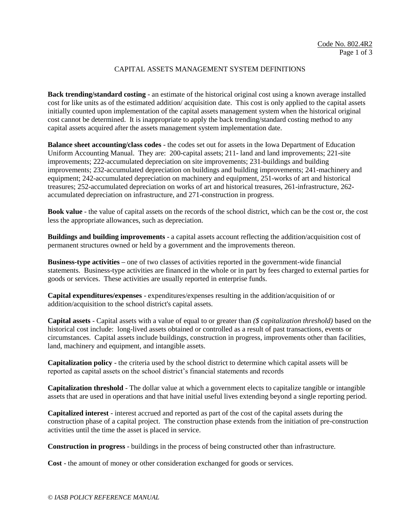## CAPITAL ASSETS MANAGEMENT SYSTEM DEFINITIONS

**Back trending/standard costing** - an estimate of the historical original cost using a known average installed cost for like units as of the estimated addition/ acquisition date. This cost is only applied to the capital assets initially counted upon implementation of the capital assets management system when the historical original cost cannot be determined. It is inappropriate to apply the back trending/standard costing method to any capital assets acquired after the assets management system implementation date.

**Balance sheet accounting/class codes** - the codes set out for assets in the Iowa Department of Education Uniform Accounting Manual. They are: 200-capital assets; 211- land and land improvements; 221-site improvements; 222-accumulated depreciation on site improvements; 231-buildings and building improvements; 232-accumulated depreciation on buildings and building improvements; 241-machinery and equipment; 242-accumulated depreciation on machinery and equipment, 251-works of art and historical treasures; 252-accumulated depreciation on works of art and historical treasures, 261-infrastructure, 262 accumulated depreciation on infrastructure, and 271-construction in progress.

**Book value** - the value of capital assets on the records of the school district, which can be the cost or, the cost less the appropriate allowances, such as depreciation.

**Buildings and building improvements** - a capital assets account reflecting the addition/acquisition cost of permanent structures owned or held by a government and the improvements thereon.

**Business-type activities –** one of two classes of activities reported in the government-wide financial statements. Business-type activities are financed in the whole or in part by fees charged to external parties for goods or services. These activities are usually reported in enterprise funds.

**Capital expenditures/expenses** - expenditures/expenses resulting in the addition/acquisition of or addition/acquisition to the school district's capital assets.

**Capital assets** - Capital assets with a value of equal to or greater than *(\$ capitalization threshold)* based on the historical cost include: long-lived assets obtained or controlled as a result of past transactions, events or circumstances. Capital assets include buildings, construction in progress, improvements other than facilities, land, machinery and equipment, and intangible assets.

**Capitalization policy** - the criteria used by the school district to determine which capital assets will be reported as capital assets on the school district's financial statements and records

**Capitalization threshold** - The dollar value at which a government elects to capitalize tangible or intangible assets that are used in operations and that have initial useful lives extending beyond a single reporting period.

**Capitalized interest** - interest accrued and reported as part of the cost of the capital assets during the construction phase of a capital project. The construction phase extends from the initiation of pre-construction activities until the time the asset is placed in service.

**Construction in progress** - buildings in the process of being constructed other than infrastructure.

**Cost** - the amount of money or other consideration exchanged for goods or services.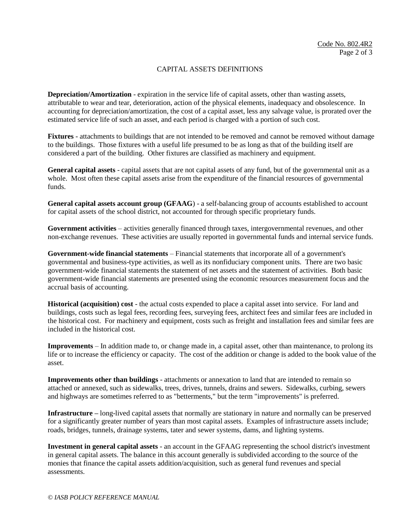## CAPITAL ASSETS DEFINITIONS

**Depreciation/Amortization** - expiration in the service life of capital assets, other than wasting assets, attributable to wear and tear, deterioration, action of the physical elements, inadequacy and obsolescence. In accounting for depreciation/amortization, the cost of a capital asset, less any salvage value, is prorated over the estimated service life of such an asset, and each period is charged with a portion of such cost.

**Fixtures** - attachments to buildings that are not intended to be removed and cannot be removed without damage to the buildings. Those fixtures with a useful life presumed to be as long as that of the building itself are considered a part of the building. Other fixtures are classified as machinery and equipment.

**General capital assets** - capital assets that are not capital assets of any fund, but of the governmental unit as a whole. Most often these capital assets arise from the expenditure of the financial resources of governmental funds.

**General capital assets account group (GFAAG**) - a self-balancing group of accounts established to account for capital assets of the school district, not accounted for through specific proprietary funds.

**Government activities** – activities generally financed through taxes, intergovernmental revenues, and other non-exchange revenues. These activities are usually reported in governmental funds and internal service funds.

**Government-wide financial statements** – Financial statements that incorporate all of a government's governmental and business-type activities, as well as its nonfiduciary component units. There are two basic government-wide financial statements the statement of net assets and the statement of activities. Both basic government-wide financial statements are presented using the economic resources measurement focus and the accrual basis of accounting.

**Historical (acquisition) cost** - the actual costs expended to place a capital asset into service. For land and buildings, costs such as legal fees, recording fees, surveying fees, architect fees and similar fees are included in the historical cost. For machinery and equipment, costs such as freight and installation fees and similar fees are included in the historical cost.

**Improvements** – In addition made to, or change made in, a capital asset, other than maintenance, to prolong its life or to increase the efficiency or capacity. The cost of the addition or change is added to the book value of the asset.

**Improvements other than buildings** - attachments or annexation to land that are intended to remain so attached or annexed, such as sidewalks, trees, drives, tunnels, drains and sewers. Sidewalks, curbing, sewers and highways are sometimes referred to as "betterments," but the term "improvements" is preferred.

**Infrastructure –** long-lived capital assets that normally are stationary in nature and normally can be preserved for a significantly greater number of years than most capital assets. Examples of infrastructure assets include; roads, bridges, tunnels, drainage systems, tater and sewer systems, dams, and lighting systems.

**Investment in general capital assets** - an account in the GFAAG representing the school district's investment in general capital assets. The balance in this account generally is subdivided according to the source of the monies that finance the capital assets addition/acquisition, such as general fund revenues and special assessments.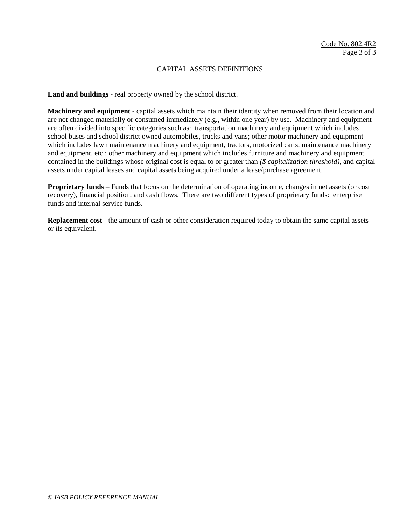### CAPITAL ASSETS DEFINITIONS

**Land and buildings** - real property owned by the school district.

**Machinery and equipment** - capital assets which maintain their identity when removed from their location and are not changed materially or consumed immediately (e.g., within one year) by use. Machinery and equipment are often divided into specific categories such as: transportation machinery and equipment which includes school buses and school district owned automobiles, trucks and vans; other motor machinery and equipment which includes lawn maintenance machinery and equipment, tractors, motorized carts, maintenance machinery and equipment, etc.; other machinery and equipment which includes furniture and machinery and equipment contained in the buildings whose original cost is equal to or greater than *(\$ capitalization threshold),* and capital assets under capital leases and capital assets being acquired under a lease/purchase agreement.

**Proprietary funds** – Funds that focus on the determination of operating income, changes in net assets (or cost recovery), financial position, and cash flows. There are two different types of proprietary funds: enterprise funds and internal service funds.

**Replacement cost** - the amount of cash or other consideration required today to obtain the same capital assets or its equivalent.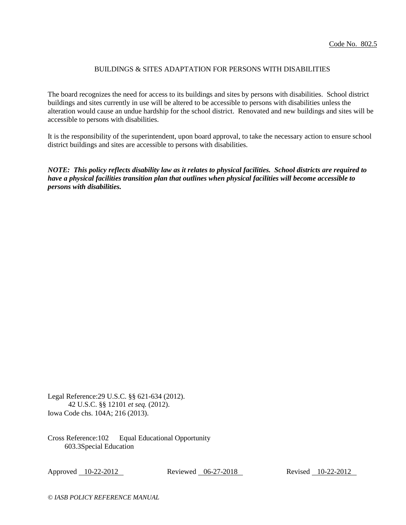# BUILDINGS & SITES ADAPTATION FOR PERSONS WITH DISABILITIES

The board recognizes the need for access to its buildings and sites by persons with disabilities. School district buildings and sites currently in use will be altered to be accessible to persons with disabilities unless the alteration would cause an undue hardship for the school district. Renovated and new buildings and sites will be accessible to persons with disabilities.

It is the responsibility of the superintendent, upon board approval, to take the necessary action to ensure school district buildings and sites are accessible to persons with disabilities.

*NOTE: This policy reflects disability law as it relates to physical facilities. School districts are required to have a physical facilities transition plan that outlines when physical facilities will become accessible to persons with disabilities.*

Legal Reference:29 U.S.C. §§ 621-634 (2012). 42 U.S.C. §§ 12101 *et seq.* (2012). Iowa Code chs. 104A; 216 (2013).

Cross Reference:102 Equal Educational Opportunity 603.3Special Education

Approved 10-22-2012 Reviewed 06-27-2018 Revised 10-22-2012

*© IASB POLICY REFERENCE MANUAL*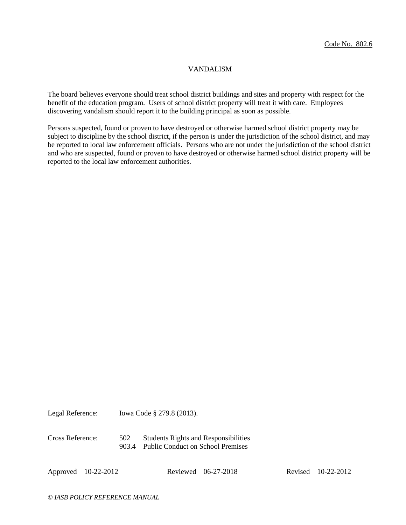### VANDALISM

The board believes everyone should treat school district buildings and sites and property with respect for the benefit of the education program. Users of school district property will treat it with care. Employees discovering vandalism should report it to the building principal as soon as possible.

Persons suspected, found or proven to have destroyed or otherwise harmed school district property may be subject to discipline by the school district, if the person is under the jurisdiction of the school district, and may be reported to local law enforcement officials. Persons who are not under the jurisdiction of the school district and who are suspected, found or proven to have destroyed or otherwise harmed school district property will be reported to the local law enforcement authorities.

Legal Reference: Iowa Code § 279.8 (2013).

Cross Reference: 502 Students Rights and Responsibilities 903.4 Public Conduct on School Premises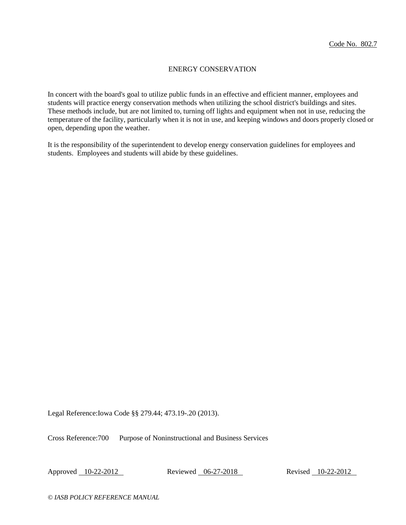## ENERGY CONSERVATION

In concert with the board's goal to utilize public funds in an effective and efficient manner, employees and students will practice energy conservation methods when utilizing the school district's buildings and sites. These methods include, but are not limited to, turning off lights and equipment when not in use, reducing the temperature of the facility, particularly when it is not in use, and keeping windows and doors properly closed or open, depending upon the weather.

It is the responsibility of the superintendent to develop energy conservation guidelines for employees and students. Employees and students will abide by these guidelines.

Legal Reference:Iowa Code §§ 279.44; 473.19-.20 (2013).

Cross Reference:700 Purpose of Noninstructional and Business Services

Approved 10-22-2012 Reviewed 06-27-2018 Revised 10-22-2012

*© IASB POLICY REFERENCE MANUAL*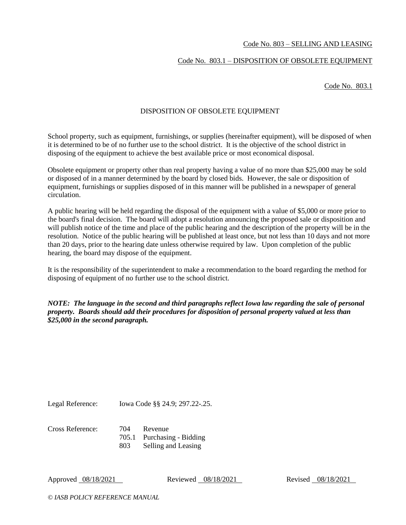## Code No. 803 – SELLING AND LEASING

# Code No. 803.1 – DISPOSITION OF OBSOLETE EQUIPMENT

Code No. 803.1

## DISPOSITION OF OBSOLETE EQUIPMENT

School property, such as equipment, furnishings, or supplies (hereinafter equipment), will be disposed of when it is determined to be of no further use to the school district. It is the objective of the school district in disposing of the equipment to achieve the best available price or most economical disposal.

Obsolete equipment or property other than real property having a value of no more than \$25,000 may be sold or disposed of in a manner determined by the board by closed bids. However, the sale or disposition of equipment, furnishings or supplies disposed of in this manner will be published in a newspaper of general circulation.

A public hearing will be held regarding the disposal of the equipment with a value of \$5,000 or more prior to the board's final decision. The board will adopt a resolution announcing the proposed sale or disposition and will publish notice of the time and place of the public hearing and the description of the property will be in the resolution. Notice of the public hearing will be published at least once, but not less than 10 days and not more than 20 days, prior to the hearing date unless otherwise required by law. Upon completion of the public hearing, the board may dispose of the equipment.

It is the responsibility of the superintendent to make a recommendation to the board regarding the method for disposing of equipment of no further use to the school district.

*NOTE: The language in the second and third paragraphs reflect Iowa law regarding the sale of personal property. Boards should add their procedures for disposition of personal property valued at less than \$25,000 in the second paragraph.*

Legal Reference: Iowa Code §§ 24.9; 297.22-.25.

Cross Reference: 704 Revenue 705.1 Purchasing - Bidding 803 Selling and Leasing

Approved 08/18/2021 Reviewed 08/18/2021 Revised 08/18/2021

*© IASB POLICY REFERENCE MANUAL*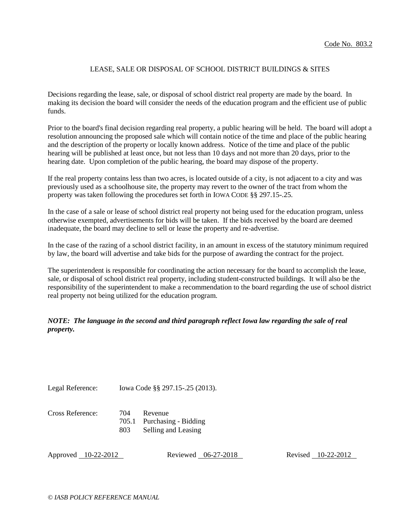## LEASE, SALE OR DISPOSAL OF SCHOOL DISTRICT BUILDINGS & SITES

Decisions regarding the lease, sale, or disposal of school district real property are made by the board. In making its decision the board will consider the needs of the education program and the efficient use of public funds.

Prior to the board's final decision regarding real property, a public hearing will be held. The board will adopt a resolution announcing the proposed sale which will contain notice of the time and place of the public hearing and the description of the property or locally known address. Notice of the time and place of the public hearing will be published at least once, but not less than 10 days and not more than 20 days, prior to the hearing date. Upon completion of the public hearing, the board may dispose of the property.

If the real property contains less than two acres, is located outside of a city, is not adjacent to a city and was previously used as a schoolhouse site, the property may revert to the owner of the tract from whom the property was taken following the procedures set forth in IOWA CODE §§ 297.15-.25.

In the case of a sale or lease of school district real property not being used for the education program, unless otherwise exempted, advertisements for bids will be taken. If the bids received by the board are deemed inadequate, the board may decline to sell or lease the property and re-advertise.

In the case of the razing of a school district facility, in an amount in excess of the statutory minimum required by law, the board will advertise and take bids for the purpose of awarding the contract for the project.

The superintendent is responsible for coordinating the action necessary for the board to accomplish the lease, sale, or disposal of school district real property, including student-constructed buildings. It will also be the responsibility of the superintendent to make a recommendation to the board regarding the use of school district real property not being utilized for the education program.

# *NOTE: The language in the second and third paragraph reflect Iowa law regarding the sale of real property.*

Legal Reference: Iowa Code §§ 297.15-.25 (2013).

#### Cross Reference: 704 Revenue 705.1 Purchasing - Bidding 803 Selling and Leasing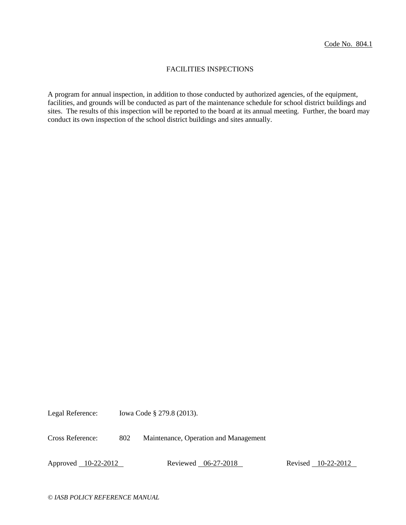## FACILITIES INSPECTIONS

A program for annual inspection, in addition to those conducted by authorized agencies, of the equipment, facilities, and grounds will be conducted as part of the maintenance schedule for school district buildings and sites. The results of this inspection will be reported to the board at its annual meeting. Further, the board may conduct its own inspection of the school district buildings and sites annually.

Legal Reference: Iowa Code § 279.8 (2013).

Cross Reference: 802 Maintenance, Operation and Management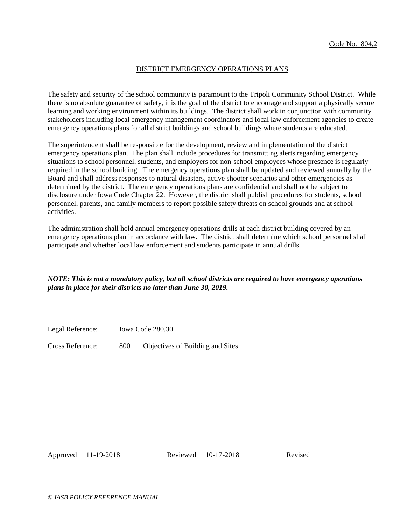## DISTRICT EMERGENCY OPERATIONS PLANS

The safety and security of the school community is paramount to the Tripoli Community School District. While there is no absolute guarantee of safety, it is the goal of the district to encourage and support a physically secure learning and working environment within its buildings. The district shall work in conjunction with community stakeholders including local emergency management coordinators and local law enforcement agencies to create emergency operations plans for all district buildings and school buildings where students are educated.

The superintendent shall be responsible for the development, review and implementation of the district emergency operations plan. The plan shall include procedures for transmitting alerts regarding emergency situations to school personnel, students, and employers for non-school employees whose presence is regularly required in the school building. The emergency operations plan shall be updated and reviewed annually by the Board and shall address responses to natural disasters, active shooter scenarios and other emergencies as determined by the district. The emergency operations plans are confidential and shall not be subject to disclosure under Iowa Code Chapter 22. However, the district shall publish procedures for students, school personnel, parents, and family members to report possible safety threats on school grounds and at school activities.

The administration shall hold annual emergency operations drills at each district building covered by an emergency operations plan in accordance with law. The district shall determine which school personnel shall participate and whether local law enforcement and students participate in annual drills.

*NOTE: This is not a mandatory policy, but all school districts are required to have emergency operations plans in place for their districts no later than June 30, 2019.*

Legal Reference: Iowa Code 280.30

Cross Reference: 800 Objectives of Building and Sites

Approved 11-19-2018 Reviewed 10-17-2018 Revised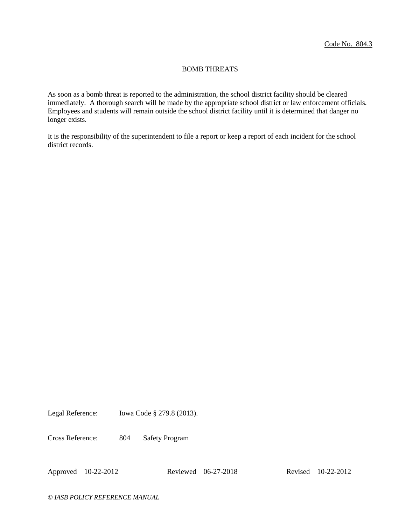## BOMB THREATS

As soon as a bomb threat is reported to the administration, the school district facility should be cleared immediately. A thorough search will be made by the appropriate school district or law enforcement officials. Employees and students will remain outside the school district facility until it is determined that danger no longer exists.

It is the responsibility of the superintendent to file a report or keep a report of each incident for the school district records.

Legal Reference: Iowa Code § 279.8 (2013).

Cross Reference: 804 Safety Program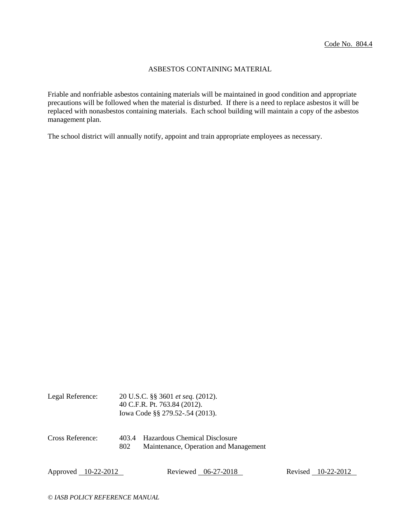## ASBESTOS CONTAINING MATERIAL

Friable and nonfriable asbestos containing materials will be maintained in good condition and appropriate precautions will be followed when the material is disturbed. If there is a need to replace asbestos it will be replaced with nonasbestos containing materials. Each school building will maintain a copy of the asbestos management plan.

The school district will annually notify, appoint and train appropriate employees as necessary.

| Legal Reference: | 20 U.S.C. §§ 3601 <i>et seq.</i> (2012). |  |  |
|------------------|------------------------------------------|--|--|
|                  | 40 C.F.R. Pt. 763.84 (2012).             |  |  |
|                  | lowa Code §§ 279.52-.54 (2013).          |  |  |
|                  |                                          |  |  |
|                  |                                          |  |  |

Cross Reference: 403.4 Hazardous Chemical Disclosure 802 Maintenance, Operation and Management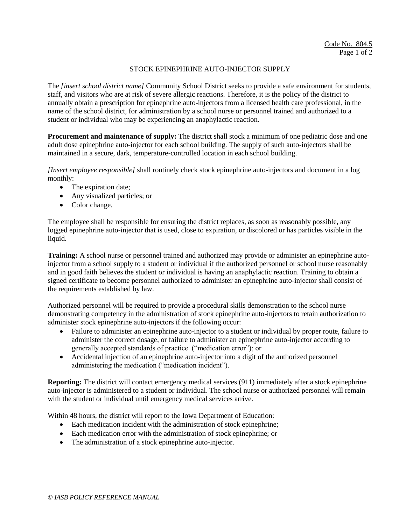## STOCK EPINEPHRINE AUTO-INJECTOR SUPPLY

The *[insert school district name]* Community School District seeks to provide a safe environment for students, staff, and visitors who are at risk of severe allergic reactions. Therefore, it is the policy of the district to annually obtain a prescription for epinephrine auto-injectors from a licensed health care professional, in the name of the school district, for administration by a school nurse or personnel trained and authorized to a student or individual who may be experiencing an anaphylactic reaction.

**Procurement and maintenance of supply:** The district shall stock a minimum of one pediatric dose and one adult dose epinephrine auto-injector for each school building. The supply of such auto-injectors shall be maintained in a secure, dark, temperature-controlled location in each school building.

*[Insert employee responsible]* shall routinely check stock epinephrine auto-injectors and document in a log monthly:

- The expiration date;
- Any visualized particles; or
- Color change.

The employee shall be responsible for ensuring the district replaces, as soon as reasonably possible, any logged epinephrine auto-injector that is used, close to expiration, or discolored or has particles visible in the liquid.

**Training:** A school nurse or personnel trained and authorized may provide or administer an epinephrine autoinjector from a school supply to a student or individual if the authorized personnel or school nurse reasonably and in good faith believes the student or individual is having an anaphylactic reaction. Training to obtain a signed certificate to become personnel authorized to administer an epinephrine auto-injector shall consist of the requirements established by law.

Authorized personnel will be required to provide a procedural skills demonstration to the school nurse demonstrating competency in the administration of stock epinephrine auto-injectors to retain authorization to administer stock epinephrine auto-injectors if the following occur:

- Failure to administer an epinephrine auto-injector to a student or individual by proper route, failure to administer the correct dosage, or failure to administer an epinephrine auto-injector according to generally accepted standards of practice ("medication error"); or
- Accidental injection of an epinephrine auto-injector into a digit of the authorized personnel administering the medication ("medication incident").

**Reporting:** The district will contact emergency medical services (911) immediately after a stock epinephrine auto-injector is administered to a student or individual. The school nurse or authorized personnel will remain with the student or individual until emergency medical services arrive.

Within 48 hours, the district will report to the Iowa Department of Education:

- Each medication incident with the administration of stock epinephrine;
- Each medication error with the administration of stock epinephrine; or
- The administration of a stock epinephrine auto-injector.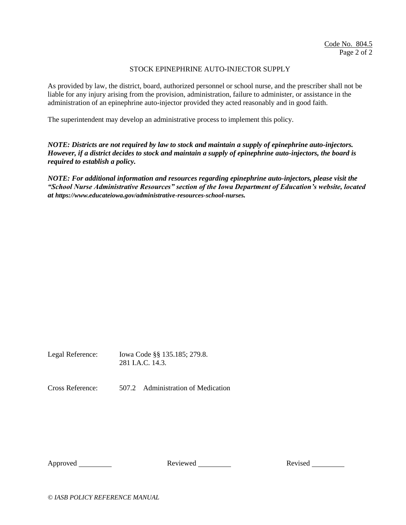## STOCK EPINEPHRINE AUTO-INJECTOR SUPPLY

As provided by law, the district, board, authorized personnel or school nurse, and the prescriber shall not be liable for any injury arising from the provision, administration, failure to administer, or assistance in the administration of an epinephrine auto-injector provided they acted reasonably and in good faith.

The superintendent may develop an administrative process to implement this policy.

*NOTE: Districts are not required by law to stock and maintain a supply of epinephrine auto-injectors. However, if a district decides to stock and maintain a supply of epinephrine auto-injectors, the board is required to establish a policy.* 

*NOTE: For additional information and resources regarding epinephrine auto-injectors, please visit the "School Nurse Administrative Resources" section of the Iowa Department of Education's website, located at <https://www.educateiowa.gov/administrative-resources-school-nurses>.* 

Legal Reference: Iowa Code §§ 135.185; 279.8. 281 I.A.C. 14.3

Cross Reference: 507.2 Administration of Medication

Approved Reviewed Revised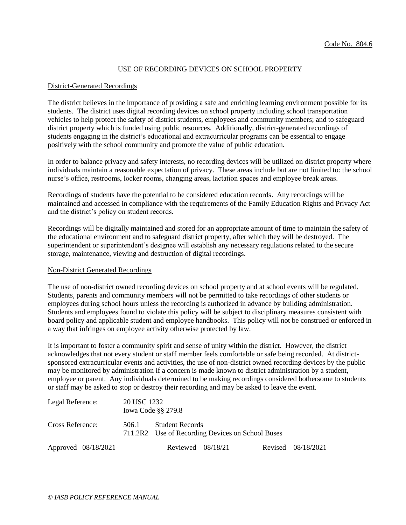## USE OF RECORDING DEVICES ON SCHOOL PROPERTY

#### District-Generated Recordings

The district believes in the importance of providing a safe and enriching learning environment possible for its students. The district uses digital recording devices on school property including school transportation vehicles to help protect the safety of district students, employees and community members; and to safeguard district property which is funded using public resources. Additionally, district-generated recordings of students engaging in the district's educational and extracurricular programs can be essential to engage positively with the school community and promote the value of public education.

In order to balance privacy and safety interests, no recording devices will be utilized on district property where individuals maintain a reasonable expectation of privacy. These areas include but are not limited to: the school nurse's office, restrooms, locker rooms, changing areas, lactation spaces and employee break areas.

Recordings of students have the potential to be considered education records. Any recordings will be maintained and accessed in compliance with the requirements of the Family Education Rights and Privacy Act and the district's policy on student records.

Recordings will be digitally maintained and stored for an appropriate amount of time to maintain the safety of the educational environment and to safeguard district property, after which they will be destroyed. The superintendent or superintendent's designee will establish any necessary regulations related to the secure storage, maintenance, viewing and destruction of digital recordings.

## Non-District Generated Recordings

The use of non-district owned recording devices on school property and at school events will be regulated. Students, parents and community members will not be permitted to take recordings of other students or employees during school hours unless the recording is authorized in advance by building administration. Students and employees found to violate this policy will be subject to disciplinary measures consistent with board policy and applicable student and employee handbooks. This policy will not be construed or enforced in a way that infringes on employee activity otherwise protected by law.

It is important to foster a community spirit and sense of unity within the district. However, the district acknowledges that not every student or staff member feels comfortable or safe being recorded. At districtsponsored extracurricular events and activities, the use of non-district owned recording devices by the public may be monitored by administration if a concern is made known to district administration by a student, employee or parent. Any individuals determined to be making recordings considered bothersome to students or staff may be asked to stop or destroy their recording and may be asked to leave the event.

| Legal Reference:    | 20 USC 1232<br>Iowa Code $\S$ § 279.8 |                                                                            |                    |  |  |
|---------------------|---------------------------------------|----------------------------------------------------------------------------|--------------------|--|--|
| Cross Reference:    | 506.1                                 | <b>Student Records</b><br>711.2R2 Use of Recording Devices on School Buses |                    |  |  |
| Approved 08/18/2021 |                                       | Reviewed $08/18/21$                                                        | Revised 08/18/2021 |  |  |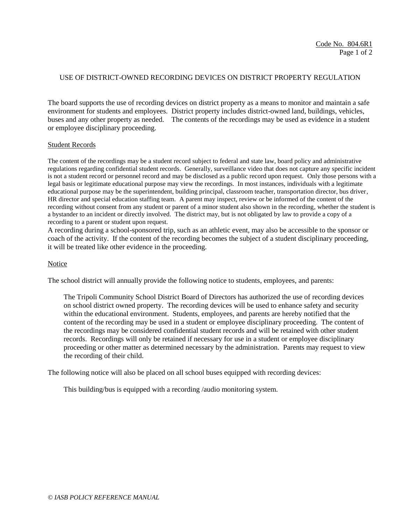### USE OF DISTRICT-OWNED RECORDING DEVICES ON DISTRICT PROPERTY REGULATION

The board supports the use of recording devices on district property as a means to monitor and maintain a safe environment for students and employees. District property includes district-owned land, buildings, vehicles, buses and any other property as needed. The contents of the recordings may be used as evidence in a student or employee disciplinary proceeding.

#### Student Records

The content of the recordings may be a student record subject to federal and state law, board policy and administrative regulations regarding confidential student records. Generally, surveillance video that does not capture any specific incident is not a student record or personnel record and may be disclosed as a public record upon request. Only those persons with a legal basis or legitimate educational purpose may view the recordings. In most instances, individuals with a legitimate educational purpose may be the superintendent, building principal, classroom teacher, transportation director, bus driver, HR director and special education staffing team. A parent may inspect, review or be informed of the content of the recording without consent from any student or parent of a minor student also shown in the recording, whether the student is a bystander to an incident or directly involved. The district may, but is not obligated by law to provide a copy of a recording to a parent or student upon request.

A recording during a school-sponsored trip, such as an athletic event, may also be accessible to the sponsor or coach of the activity. If the content of the recording becomes the subject of a student disciplinary proceeding, it will be treated like other evidence in the proceeding.

#### Notice

The school district will annually provide the following notice to students, employees, and parents:

The Tripoli Community School District Board of Directors has authorized the use of recording devices on school district owned property. The recording devices will be used to enhance safety and security within the educational environment. Students, employees, and parents are hereby notified that the content of the recording may be used in a student or employee disciplinary proceeding. The content of the recordings may be considered confidential student records and will be retained with other student records. Recordings will only be retained if necessary for use in a student or employee disciplinary proceeding or other matter as determined necessary by the administration. Parents may request to view the recording of their child.

The following notice will also be placed on all school buses equipped with recording devices:

This building/bus is equipped with a recording /audio monitoring system.